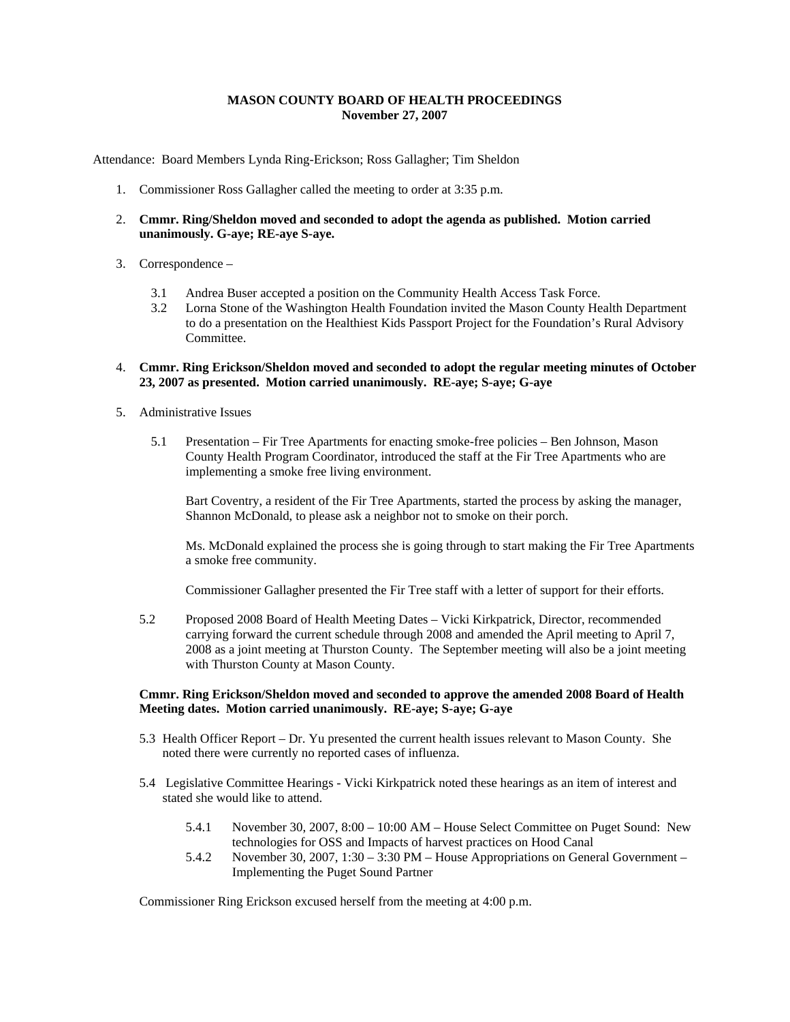## **MASON COUNTY BOARD OF HEALTH PROCEEDINGS November 27, 2007**

Attendance: Board Members Lynda Ring-Erickson; Ross Gallagher; Tim Sheldon

- 1. Commissioner Ross Gallagher called the meeting to order at 3:35 p.m.
- 2. **Cmmr. Ring/Sheldon moved and seconded to adopt the agenda as published. Motion carried unanimously. G-aye; RE-aye S-aye.**
- 3. Correspondence
	- 3.1 Andrea Buser accepted a position on the Community Health Access Task Force.
	- 3.2 Lorna Stone of the Washington Health Foundation invited the Mason County Health Department to do a presentation on the Healthiest Kids Passport Project for the Foundation's Rural Advisory Committee.
- 4. **Cmmr. Ring Erickson/Sheldon moved and seconded to adopt the regular meeting minutes of October 23, 2007 as presented. Motion carried unanimously. RE-aye; S-aye; G-aye**
- 5. Administrative Issues
	- 5.1 Presentation Fir Tree Apartments for enacting smoke-free policies Ben Johnson, Mason County Health Program Coordinator, introduced the staff at the Fir Tree Apartments who are implementing a smoke free living environment.

Bart Coventry, a resident of the Fir Tree Apartments, started the process by asking the manager, Shannon McDonald, to please ask a neighbor not to smoke on their porch.

Ms. McDonald explained the process she is going through to start making the Fir Tree Apartments a smoke free community.

Commissioner Gallagher presented the Fir Tree staff with a letter of support for their efforts.

5.2 Proposed 2008 Board of Health Meeting Dates – Vicki Kirkpatrick, Director, recommended carrying forward the current schedule through 2008 and amended the April meeting to April 7, 2008 as a joint meeting at Thurston County. The September meeting will also be a joint meeting with Thurston County at Mason County.

### **Cmmr. Ring Erickson/Sheldon moved and seconded to approve the amended 2008 Board of Health Meeting dates. Motion carried unanimously. RE-aye; S-aye; G-aye**

- 5.3 Health Officer Report Dr. Yu presented the current health issues relevant to Mason County. She noted there were currently no reported cases of influenza.
- 5.4 Legislative Committee Hearings Vicki Kirkpatrick noted these hearings as an item of interest and stated she would like to attend.
	- 5.4.1 November 30, 2007, 8:00 10:00 AM House Select Committee on Puget Sound: New technologies for OSS and Impacts of harvest practices on Hood Canal
	- 5.4.2 November 30, 2007, 1:30 3:30 PM House Appropriations on General Government Implementing the Puget Sound Partner

Commissioner Ring Erickson excused herself from the meeting at 4:00 p.m.